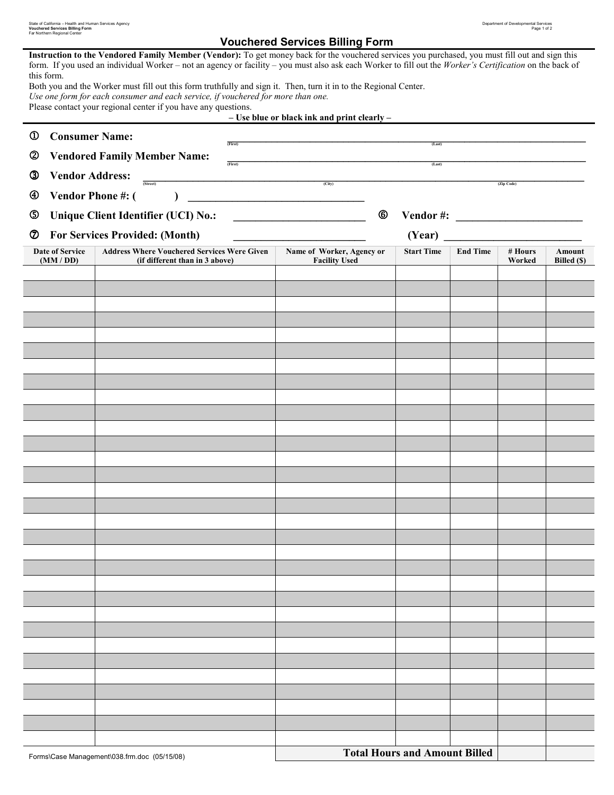| State of California - Health and Human Services Agency | Department of Developmental Services |
|--------------------------------------------------------|--------------------------------------|
| <b>Vouchered Services Billing Form</b>                 | Page 1 of 2                          |
| Far Northern Regional Center                           |                                      |

## Far Northern Regional Center **Center** (Services Billing Form

|            | this form.                                              | Instruction to the Vendored Family Member (Vendor): To get money back for the vouchered services you purchased, you must fill out and sign this<br>form. If you used an individual Worker – not an agency or facility – you must also ask each Worker to fill out the Worker's Certification on the back of<br>Both you and the Worker must fill out this form truthfully and sign it. Then, turn it in to the Regional Center.<br>Use one form for each consumer and each service, if vouchered for more than one.<br>Please contact your regional center if you have any questions. |          | - Use blue or black ink and print clearly - |  |                                      |                 |            |             |
|------------|---------------------------------------------------------|---------------------------------------------------------------------------------------------------------------------------------------------------------------------------------------------------------------------------------------------------------------------------------------------------------------------------------------------------------------------------------------------------------------------------------------------------------------------------------------------------------------------------------------------------------------------------------------|----------|---------------------------------------------|--|--------------------------------------|-----------------|------------|-------------|
| $^{\circ}$ | <b>Consumer Name:</b>                                   |                                                                                                                                                                                                                                                                                                                                                                                                                                                                                                                                                                                       |          |                                             |  |                                      |                 |            |             |
|            |                                                         |                                                                                                                                                                                                                                                                                                                                                                                                                                                                                                                                                                                       | (First)  |                                             |  | (Last)                               |                 |            |             |
| ➁          |                                                         | <b>Vendored Family Member Name:</b>                                                                                                                                                                                                                                                                                                                                                                                                                                                                                                                                                   | (First)  |                                             |  | (Last)                               |                 |            |             |
| ③          | <b>Vendor Address:</b>                                  | (Street)                                                                                                                                                                                                                                                                                                                                                                                                                                                                                                                                                                              | <u>.</u> | (City)                                      |  |                                      |                 | (Zip Code) |             |
| ④          | Vendor Phone #: (                                       |                                                                                                                                                                                                                                                                                                                                                                                                                                                                                                                                                                                       |          |                                             |  |                                      |                 |            |             |
| ك          | <b>Unique Client Identifier (UCI) No.:</b><br>Vendor #: |                                                                                                                                                                                                                                                                                                                                                                                                                                                                                                                                                                                       |          |                                             |  |                                      |                 |            |             |
| Ø          |                                                         | <b>For Services Provided: (Month)</b>                                                                                                                                                                                                                                                                                                                                                                                                                                                                                                                                                 |          |                                             |  | (Year)                               |                 |            |             |
|            | <b>Date of Service</b>                                  | <b>Address Where Vouchered Services Were Given</b>                                                                                                                                                                                                                                                                                                                                                                                                                                                                                                                                    |          | Name of Worker, Agency or                   |  | <b>Start Time</b>                    | <b>End Time</b> | # Hours    | Amount      |
|            | (MM / DD)                                               | (if different than in 3 above)                                                                                                                                                                                                                                                                                                                                                                                                                                                                                                                                                        |          | <b>Facility Used</b>                        |  |                                      |                 | Worked     | Billed (\$) |
|            |                                                         |                                                                                                                                                                                                                                                                                                                                                                                                                                                                                                                                                                                       |          |                                             |  |                                      |                 |            |             |
|            |                                                         |                                                                                                                                                                                                                                                                                                                                                                                                                                                                                                                                                                                       |          |                                             |  |                                      |                 |            |             |
|            |                                                         |                                                                                                                                                                                                                                                                                                                                                                                                                                                                                                                                                                                       |          |                                             |  |                                      |                 |            |             |
|            |                                                         |                                                                                                                                                                                                                                                                                                                                                                                                                                                                                                                                                                                       |          |                                             |  |                                      |                 |            |             |
|            |                                                         |                                                                                                                                                                                                                                                                                                                                                                                                                                                                                                                                                                                       |          |                                             |  |                                      |                 |            |             |
|            |                                                         |                                                                                                                                                                                                                                                                                                                                                                                                                                                                                                                                                                                       |          |                                             |  |                                      |                 |            |             |
|            |                                                         |                                                                                                                                                                                                                                                                                                                                                                                                                                                                                                                                                                                       |          |                                             |  |                                      |                 |            |             |
|            |                                                         |                                                                                                                                                                                                                                                                                                                                                                                                                                                                                                                                                                                       |          |                                             |  |                                      |                 |            |             |
|            |                                                         |                                                                                                                                                                                                                                                                                                                                                                                                                                                                                                                                                                                       |          |                                             |  |                                      |                 |            |             |
|            |                                                         |                                                                                                                                                                                                                                                                                                                                                                                                                                                                                                                                                                                       |          |                                             |  |                                      |                 |            |             |
|            |                                                         |                                                                                                                                                                                                                                                                                                                                                                                                                                                                                                                                                                                       |          |                                             |  |                                      |                 |            |             |
|            |                                                         |                                                                                                                                                                                                                                                                                                                                                                                                                                                                                                                                                                                       |          |                                             |  |                                      |                 |            |             |
|            |                                                         |                                                                                                                                                                                                                                                                                                                                                                                                                                                                                                                                                                                       |          |                                             |  |                                      |                 |            |             |
|            |                                                         |                                                                                                                                                                                                                                                                                                                                                                                                                                                                                                                                                                                       |          |                                             |  |                                      |                 |            |             |
|            |                                                         |                                                                                                                                                                                                                                                                                                                                                                                                                                                                                                                                                                                       |          |                                             |  |                                      |                 |            |             |
|            |                                                         |                                                                                                                                                                                                                                                                                                                                                                                                                                                                                                                                                                                       |          |                                             |  |                                      |                 |            |             |
|            |                                                         |                                                                                                                                                                                                                                                                                                                                                                                                                                                                                                                                                                                       |          |                                             |  |                                      |                 |            |             |
|            |                                                         |                                                                                                                                                                                                                                                                                                                                                                                                                                                                                                                                                                                       |          |                                             |  |                                      |                 |            |             |
|            |                                                         |                                                                                                                                                                                                                                                                                                                                                                                                                                                                                                                                                                                       |          |                                             |  |                                      |                 |            |             |
|            |                                                         |                                                                                                                                                                                                                                                                                                                                                                                                                                                                                                                                                                                       |          |                                             |  |                                      |                 |            |             |
|            |                                                         |                                                                                                                                                                                                                                                                                                                                                                                                                                                                                                                                                                                       |          |                                             |  |                                      |                 |            |             |
|            |                                                         |                                                                                                                                                                                                                                                                                                                                                                                                                                                                                                                                                                                       |          |                                             |  |                                      |                 |            |             |
|            |                                                         |                                                                                                                                                                                                                                                                                                                                                                                                                                                                                                                                                                                       |          |                                             |  |                                      |                 |            |             |
|            |                                                         |                                                                                                                                                                                                                                                                                                                                                                                                                                                                                                                                                                                       |          |                                             |  |                                      |                 |            |             |
|            |                                                         |                                                                                                                                                                                                                                                                                                                                                                                                                                                                                                                                                                                       |          |                                             |  |                                      |                 |            |             |
|            |                                                         |                                                                                                                                                                                                                                                                                                                                                                                                                                                                                                                                                                                       |          |                                             |  |                                      |                 |            |             |
|            |                                                         |                                                                                                                                                                                                                                                                                                                                                                                                                                                                                                                                                                                       |          |                                             |  |                                      |                 |            |             |
|            |                                                         |                                                                                                                                                                                                                                                                                                                                                                                                                                                                                                                                                                                       |          |                                             |  |                                      |                 |            |             |
|            |                                                         |                                                                                                                                                                                                                                                                                                                                                                                                                                                                                                                                                                                       |          |                                             |  |                                      |                 |            |             |
|            |                                                         | Forms\Case Management\038.frm.doc (05/15/08)                                                                                                                                                                                                                                                                                                                                                                                                                                                                                                                                          |          |                                             |  | <b>Total Hours and Amount Billed</b> |                 |            |             |